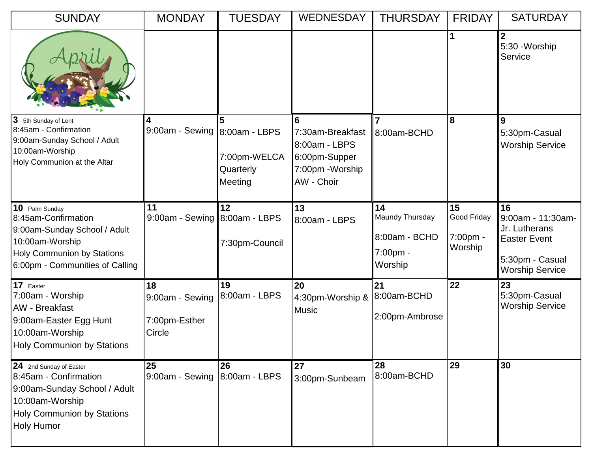| <b>SUNDAY</b>                                                                                                                                                    | <b>MONDAY</b>                                    | <b>TUESDAY</b>                                             | <b>WEDNESDAY</b>                                                                          | <b>THURSDAY</b>                                               | <b>FRIDAY</b>                                      | <b>SATURDAY</b>                                                                                              |
|------------------------------------------------------------------------------------------------------------------------------------------------------------------|--------------------------------------------------|------------------------------------------------------------|-------------------------------------------------------------------------------------------|---------------------------------------------------------------|----------------------------------------------------|--------------------------------------------------------------------------------------------------------------|
|                                                                                                                                                                  |                                                  |                                                            |                                                                                           |                                                               | 1                                                  | $\overline{2}$<br>5:30 - Worship<br>Service                                                                  |
| Ι3<br>5th Sunday of Lent<br>8:45am - Confirmation<br>9:00am-Sunday School / Adult<br>10:00am-Worship<br>Holy Communion at the Altar                              | 4<br>9:00am - Sewing                             | 5<br>8:00am - LBPS<br>7:00pm-WELCA<br>Quarterly<br>Meeting | 6<br>7:30am-Breakfast<br>8:00am - LBPS<br>6:00pm-Supper<br>7:00pm - Worship<br>AW - Choir | 7<br>8:00am-BCHD                                              | 8                                                  | 9<br>5:30pm-Casual<br><b>Worship Service</b>                                                                 |
| 10 Palm Sunday<br>8:45am-Confirmation<br>9:00am-Sunday School / Adult<br>10:00am-Worship<br><b>Holy Communion by Stations</b><br>6:00pm - Communities of Calling | 11<br>9:00am - Sewing 8:00am - LBPS              | 12<br>7:30pm-Council                                       | 13<br>8:00am - LBPS                                                                       | 14<br>Maundy Thursday<br>8:00am - BCHD<br>7:00pm -<br>Worship | 15<br>Good Friday<br>$7:00 \text{pm} -$<br>Worship | 16<br>9:00am - 11:30am-<br>Jr. Lutherans<br><b>Easter Event</b><br>5:30pm - Casual<br><b>Worship Service</b> |
| 17 Easter<br>7:00am - Worship<br>AW - Breakfast<br>9:00am-Easter Egg Hunt<br>10:00am-Worship<br><b>Holy Communion by Stations</b>                                | 18<br>9:00am - Sewing<br>7:00pm-Esther<br>Circle | 19<br>8:00am - LBPS                                        | 20<br>4:30pm-Worship &<br><b>Music</b>                                                    | 21<br>8:00am-BCHD<br>2:00pm-Ambrose                           | 22                                                 | 23<br>5:30pm-Casual<br><b>Worship Service</b>                                                                |
| 24 2nd Sunday of Easter<br>8:45am - Confirmation<br>9:00am-Sunday School / Adult<br>10:00am-Worship<br><b>Holy Communion by Stations</b><br><b>Holy Humor</b>    | 25<br>9:00am - Sewing                            | 26<br>8:00am - LBPS                                        | 27<br>3:00pm-Sunbeam                                                                      | 28<br>8:00am-BCHD                                             | 29                                                 | 30                                                                                                           |